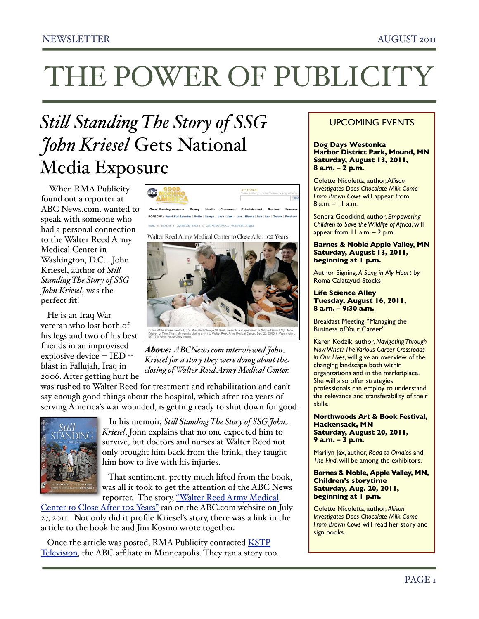## *Sti! Standing The Story of SSG John Kriesel* Gets National Media Exposure

 When RMA Publicity found out a reporter at ABC News.com. wanted to speak with someone who had a personal connection to the Walter Reed Army Medical Center in Washington, D.C., John Kriesel, author of *Sti! Standing The Story of SSG John Kriesel*, was the perfect fit!

 He is an Iraq War veteran who lost both of his legs and two of his best friends in an improvised explosive device -- IED -blast in Fallujah, Iraq in 2006. After getting hurt he



*Above: ABCNews.com interviewed John Kriesel for a story they were doing about the closing of Walter Reed Army Medical Center.*

was rushed to Walter Reed for treatment and rehabilitation and can't say enough good things about the hospital, which after 102 years of serving America's war wounded, is getting ready to shut down for good.



 In his memoir, *Sti! Standing The Story of SSG John Kriesel*, John explains that no one expected him to survive, but doctors and nurses at Walter Reed not only brought him back from the brink, they taught him how to live with his injuries.

 That sentiment, pretty much lifted from the book, was all it took to get the attention of the ABC News reporter. The story, "Walter Reed Army Medical

[Center to Close After 102 Years"](http://abcnews.go.com/Health/Wellness/walter-reed-army-medical-center-close-102-years/story?id=14161175) ran on the ABC.com website on July 27, 2011. Not only did it profile Kriesel's story, there was a link in the article to the book he and Jim Kosmo wrote together.

Once the article was posted, RMA Publicity contacted **KSTP** [Television](http://kstp.com/article/stories/S2217221.shtml?cat=0), the ABC affiliate in Minneapolis. They ran a story too.

### UPCOMING EVENTS

#### **Dog Days Westonka Harbor District Park, Mound, MN Saturday, August 13, 2011, 8 a.m. – 2 p.m.**

Colette Nicoletta, author, A*llison Investigates Does Chocolate Milk Come From Brown Cows* will appear from 8 a.m. – 11 a.m.

Sondra Goodkind, author, *Empowering Children to Save the Wildlife of Africa*, will appear from 11 a.m. – 2 p.m.

**Barnes & Noble Apple Valley, MN Saturday, August 13, 2011, beginning at 1 p.m.**

Author Signing, *A Song in My Heart* by Roma Calatayud-Stocks

**Life Science Alley Tuesday, August 16, 2011, 8 a.m. – 9:30 a.m.** 

Breakfast Meeting, "Managing the Business of Your Career"

Karen Kodzik, author, *Navigating Through Now What? The Various Career Crossroads in Our Lives*, will give an overview of the changing landscape both within organizations and in the marketplace. She will also offer strategies professionals can employ to understand the relevance and transferability of their skills.

**Northwoods Art & Book Festival, Hackensack, MN Saturday, August 20, 2011, 9 a.m. – 3 p.m.**

Marilyn Jax, author, *Road to Omalos* and *The Find*, will be among the exhibitors.

**Barnes & Noble, Apple Valley, MN, Children's storytime Saturday, Aug. 20, 2011, beginning at 1 p.m.**

Colette Nicoletta, author, *Allison Investigates Does Chocolate Milk Come From Brown Cows* will read her story and sign books.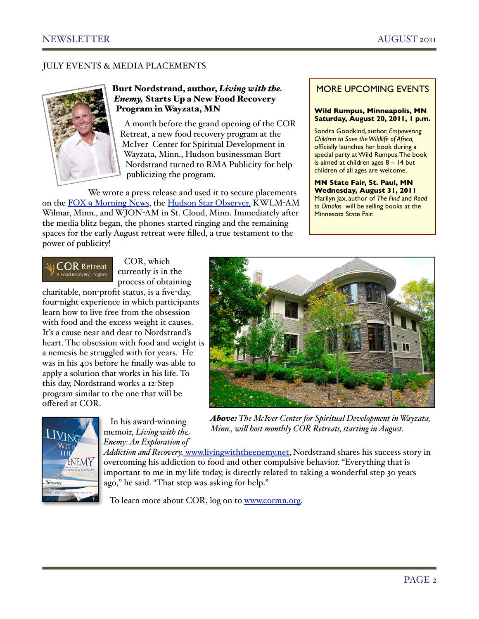### JULY EVENTS & MEDIA PLACEMENTS



#### Burt Nordstrand, author, *Living with the Enemy,* Starts Up a New Food Recovery Program in Wayzata, MN

 A month before the grand opening of the COR Retreat, a new food recovery program at the McIver Center for Spiritual Development in Wayzata, Minn., Hudson businessman Burt Nordstrand turned to RMA Publicity for help publicizing the program.

 We wrote a press release and used it to secure placements on the [FOX 9 Morning News,](http://www.youtube.com/watch?v=ErbxJzfeHnM) the [Hudson Star Observer,](http://www.hudsonstarobserver.com/event/article/id/43905/) KWLM-AM Wilmar, Minn., and WJON-AM in St. Cloud, Minn. Immediately after the media blitz began, the phones started ringing and the remaining spaces for the early August retreat were filled, a true testament to the power of publicity!

#### MORE UPCOMING EVENTS

#### **Wild Rumpus, Minneapolis, MN Saturday, August 20, 2011, 1 p.m.**

Sondra Goodkind, author, *Empowering Children to Save the Wildlife of Africa,* officially launches her book during a special party at Wild Rumpus. The book is aimed at children ages  $8 - 14$  but children of all ages are welcome.

**MN State Fair, St. Paul, MN Wednesday, August 31, 2011**  Marilyn Jax, author of *The Find* and *Road to Omalos* will be selling books at the Minnesota State Fair.



 COR, which currently is in the process of obtaining

 In his award-winning memoir, *Living with the*

charitable, non-profit status, is a five-day, four-night experience in which participants learn how to live free from the obsession with food and the excess weight it causes. It's a cause near and dear to Nordstrand's heart. The obsession with food and weight is a nemesis he struggled with for years. He was in his 40s before he finally was able to apply a solution that works in his life. To this day, Nordstrand works a 12-Step program similar to the one that will be offered at COR.





*Above: The McIver Center for Spiritual Development in Wayzata, Minn., wi! host monthly COR Retreats, starting in August.*

*Enemy: An Exploration of Addiction and Recovery,* [www.livingwiththeenemy.net,](http://www.livingwiththeenemy.net) Nordstrand shares his success story in overcoming his addiction to food and other compulsive behavior. "Everything that is important to me in my life today, is directly related to taking a wonderful step 30 years ago," he said. "That step was asking for help."

To learn more about COR, log on to [www.cormn.org.](http://www.cormn.org)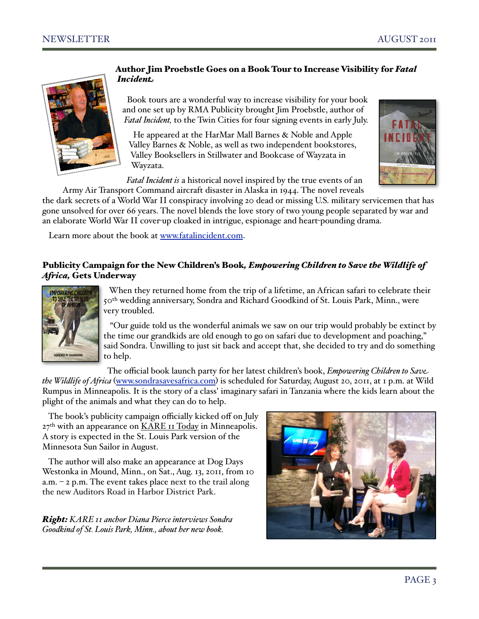

#### Author Jim Proebstle Goes on a Book Tour to Increase Visibility for *Fatal Incident*

 Book tours are a wonderful way to increase visibility for your book and one set up by RMA Publicity brought Jim Proebstle, author of *Fatal Incident,* to the Twin Cities for four signing events in early July.

 He appeared at the HarMar Mall Barnes & Noble and Apple Valley Barnes & Noble, as well as two independent bookstores, Valley Booksellers in Stillwater and Bookcase of Wayzata in Wayzata.



 *Fatal Incident is* a historical novel inspired by the true events of an Army Air Transport Command aircraft disaster in Alaska in 1944. The novel reveals

the dark secrets of a World War II conspiracy involving 20 dead or missing U.S. military servicemen that has gone unsolved for over 66 years. The novel blends the love story of two young people separated by war and an elaborate World War II cover-up cloaked in intrigue, espionage and heart-pounding drama.

Learn more about the book at [www.fatalincident.com.](http://www.fatalincident.com)

#### Publicity Campaign for the New Children's Book*, Empowering Children to Save the Wildlife of Africa,* Gets Underway



 When they returned home from the trip of a lifetime, an African safari to celebrate their 50<sup>th</sup> wedding anniversary, Sondra and Richard Goodkind of St. Louis Park, Minn., were very troubled.

 "Our guide told us the wonderful animals we saw on our trip would probably be extinct by the time our grandkids are old enough to go on safari due to development and poaching," said Sondra. Unwilling to just sit back and accept that, she decided to try and do something to help.

 The official book launch party for her latest children's book, *Empowering Children to Save the Wildlife of Africa* ([www.sondrasavesafrica.com](http://www.sondrasavesafrica.com)) is scheduled for Saturday, August 20, 2011, at 1 p.m. at Wild Rumpus in Minneapolis. It is the story of a class' imaginary safari in Tanzania where the kids learn about the plight of the animals and what they can do to help.

 The book's publicity campaign officially kicked off on July  $27<sup>th</sup>$  with an appearance on  $\underline{KARE}$  II  $\overline{Ioday}$  in Minneapolis. A story is expected in the St. Louis Park version of the Minnesota Sun Sailor in August.

 The author will also make an appearance at Dog Days Westonka in Mound, Minn., on Sat., Aug. 13, 2011, from 10 a.m.  $-$  2 p.m. The event takes place next to the trail along the new Auditors Road in Harbor District Park.

*Right: KARE 11 anchor Diana Pierce interviews Sondra Goodkind of St. Louis Park, Minn., about her new book.* 

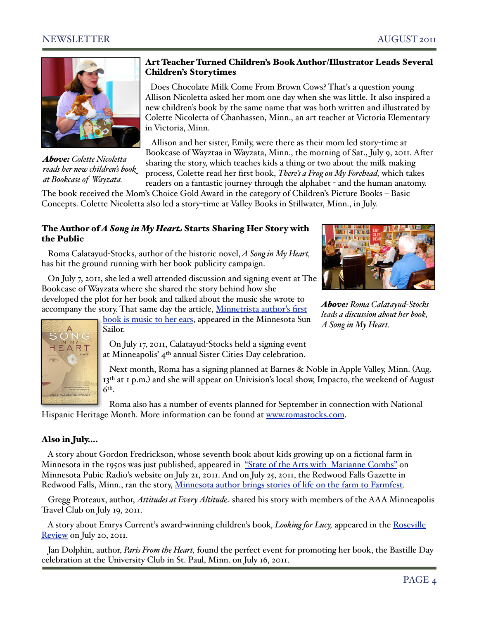

*Above: Colette Nicoletta reads her new children's book at Bookcase of Wayzata.*

### Art Teacher Turned Children's Book Author/Illustrator Leads Several Children's Storytimes

 Does Chocolate Milk Come From Brown Cows? That's a question young Allison Nicoletta asked her mom one day when she was little. It also inspired a new children's book by the same name that was both written and illustrated by Colette Nicoletta of Chanhassen, Minn., an art teacher at Victoria Elementary in Victoria, Minn.

 Allison and her sister, Emily, were there as their mom led story-time at Bookcase of Wayztaa in Wayzata, Minn., the morning of Sat., July 9, 2011. After sharing the story, which teaches kids a thing or two about the milk making process, Colette read her first book, *There's a Frog on My Forehead,* which takes readers on a fantastic journey through the alphabet - and the human anatomy.

The book received the Mom's Choice Gold Award in the category of Children's Picture Books – Basic Concepts. Colette Nicoletta also led a story-time at Valley Books in Stillwater, Minn., in July.

#### The Author of *A Song in My Heart* Starts Sharing Her Story with the Public

 Roma Calatayud-Stocks, author of the historic novel, *A Song in My Heart,* has hit the ground running with her book publicity campaign.

 On July 7, 2011, she led a well attended discussion and signing event at The Bookcase of Wayzata where she shared the story behind how she developed the plot for her book and talked about the music she wrote to accompany the story. That same day the article, Minnetrista author's first



*Above: Roma Calatayud-Stocks leads a discussion about her book, A Song in My Heart.* 



[book is music to her ears](http://www.mnsun.com/articles/2011/07/07/orono/community/aw07book.txt), appeared in the Minnesota Sun Sailor.

 On July 17, 2011, Calatayud-Stocks held a signing event at Minneapolis' 4th annual Sister Cities Day celebration.

 Next month, Roma has a signing planned at Barnes & Noble in Apple Valley, Minn. (Aug. 13<sup>th</sup> at 1 p.m.) and she will appear on Univision's local show, Impacto, the weekend of August 6th.

 Roma also has a number of events planned for September in connection with National Hispanic Heritage Month. More information can be found at [www.romastocks.com.](http://www.romastocks.com)

### Also in July….

 A story about Gordon Fredrickson, whose seventh book about kids growing up on a fictional farm in Minnesota in the 1950s was just published, appeared in ["State of the Arts with Marianne Combs"](http://minnesota.publicradio.org/collections/special/columns/state-of-the-arts/archive/2011/07/minnesota-architecture-the-humble-hard-working-farm.shtml) on Minnesota Pubic Radio's website on July 21, 2011. And on July 25, 2011, the Redwood Falls Gazette in Redwood Falls, Minn., ran the story, [Minnesota author brings stories of life on the farm to Farmfest](http://www.redwoodfallsgazette.com/entertainment/arts/x1009571487/Minnesota-author-brings-stories-of-life-on-the-farm-to-Farmfest)*.*

 Gregg Proteaux, author, *Attitudes at Every Altitude* shared his story with members of the AAA Minneapolis Travel Club on July 19, 2011.

 A story about Emrys Current's award-winning children's book*, Looking for Lucy,* appeared in the [Roseville](http://www.rosevillereview.com/main.asp?SectionID=91&SubSectionID=301&ArticleID=6158)  [Review](http://www.rosevillereview.com/main.asp?SectionID=91&SubSectionID=301&ArticleID=6158) on July 20, 2011.

 Jan Dolphin, author, *Paris From the Heart,* found the perfect event for promoting her book, the Bastille Day celebration at the University Club in St. Paul, Minn. on July 16, 2011.